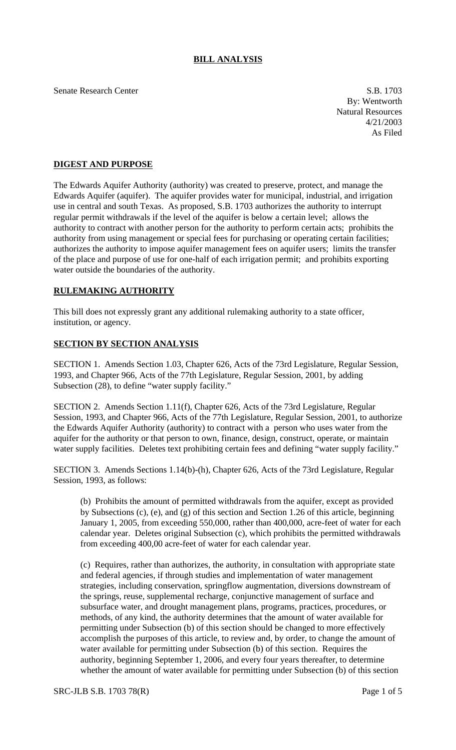## **BILL ANALYSIS**

Senate Research Center S.B. 1703

By: Wentworth Natural Resources 4/21/2003 As Filed

## **DIGEST AND PURPOSE**

The Edwards Aquifer Authority (authority) was created to preserve, protect, and manage the Edwards Aquifer (aquifer). The aquifer provides water for municipal, industrial, and irrigation use in central and south Texas. As proposed, S.B. 1703 authorizes the authority to interrupt regular permit withdrawals if the level of the aquifer is below a certain level; allows the authority to contract with another person for the authority to perform certain acts; prohibits the authority from using management or special fees for purchasing or operating certain facilities; authorizes the authority to impose aquifer management fees on aquifer users; limits the transfer of the place and purpose of use for one-half of each irrigation permit; and prohibits exporting water outside the boundaries of the authority.

## **RULEMAKING AUTHORITY**

This bill does not expressly grant any additional rulemaking authority to a state officer, institution, or agency.

## **SECTION BY SECTION ANALYSIS**

SECTION 1. Amends Section 1.03, Chapter 626, Acts of the 73rd Legislature, Regular Session, 1993, and Chapter 966, Acts of the 77th Legislature, Regular Session, 2001, by adding Subsection (28), to define "water supply facility."

SECTION 2. Amends Section 1.11(f), Chapter 626, Acts of the 73rd Legislature, Regular Session, 1993, and Chapter 966, Acts of the 77th Legislature, Regular Session, 2001, to authorize the Edwards Aquifer Authority (authority) to contract with a person who uses water from the aquifer for the authority or that person to own, finance, design, construct, operate, or maintain water supply facilities. Deletes text prohibiting certain fees and defining "water supply facility."

SECTION 3. Amends Sections 1.14(b)-(h), Chapter 626, Acts of the 73rd Legislature, Regular Session, 1993, as follows:

(b) Prohibits the amount of permitted withdrawals from the aquifer, except as provided by Subsections (c), (e), and (g) of this section and Section 1.26 of this article, beginning January 1, 2005, from exceeding 550,000, rather than 400,000, acre-feet of water for each calendar year. Deletes original Subsection (c), which prohibits the permitted withdrawals from exceeding 400,00 acre-feet of water for each calendar year.

(c) Requires, rather than authorizes, the authority, in consultation with appropriate state and federal agencies, if through studies and implementation of water management strategies, including conservation, springflow augmentation, diversions downstream of the springs, reuse, supplemental recharge, conjunctive management of surface and subsurface water, and drought management plans, programs, practices, procedures, or methods, of any kind, the authority determines that the amount of water available for permitting under Subsection (b) of this section should be changed to more effectively accomplish the purposes of this article, to review and, by order, to change the amount of water available for permitting under Subsection (b) of this section. Requires the authority, beginning September 1, 2006, and every four years thereafter, to determine whether the amount of water available for permitting under Subsection (b) of this section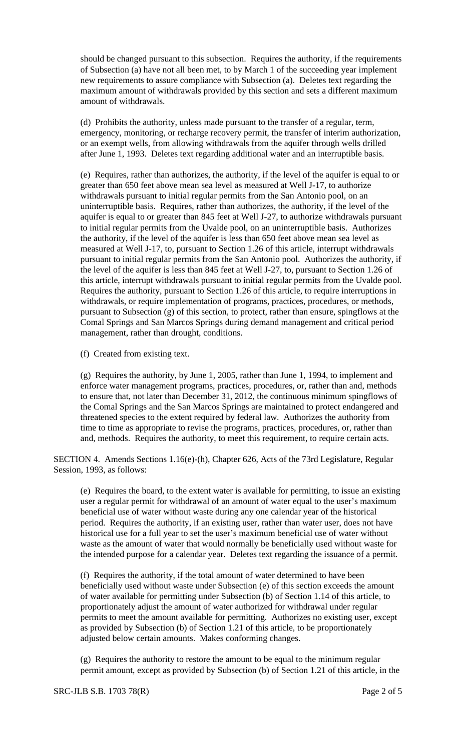should be changed pursuant to this subsection. Requires the authority, if the requirements of Subsection (a) have not all been met, to by March 1 of the succeeding year implement new requirements to assure compliance with Subsection (a). Deletes text regarding the maximum amount of withdrawals provided by this section and sets a different maximum amount of withdrawals.

(d) Prohibits the authority, unless made pursuant to the transfer of a regular, term, emergency, monitoring, or recharge recovery permit, the transfer of interim authorization, or an exempt wells, from allowing withdrawals from the aquifer through wells drilled after June 1, 1993. Deletes text regarding additional water and an interruptible basis.

(e) Requires, rather than authorizes, the authority, if the level of the aquifer is equal to or greater than 650 feet above mean sea level as measured at Well J-17, to authorize withdrawals pursuant to initial regular permits from the San Antonio pool, on an uninterruptible basis. Requires, rather than authorizes, the authority, if the level of the aquifer is equal to or greater than 845 feet at Well J-27, to authorize withdrawals pursuant to initial regular permits from the Uvalde pool, on an uninterruptible basis. Authorizes the authority, if the level of the aquifer is less than 650 feet above mean sea level as measured at Well J-17, to, pursuant to Section 1.26 of this article, interrupt withdrawals pursuant to initial regular permits from the San Antonio pool. Authorizes the authority, if the level of the aquifer is less than 845 feet at Well J-27, to, pursuant to Section 1.26 of this article, interrupt withdrawals pursuant to initial regular permits from the Uvalde pool. Requires the authority, pursuant to Section 1.26 of this article, to require interruptions in withdrawals, or require implementation of programs, practices, procedures, or methods, pursuant to Subsection (g) of this section, to protect, rather than ensure, spingflows at the Comal Springs and San Marcos Springs during demand management and critical period management, rather than drought, conditions.

(f) Created from existing text.

(g) Requires the authority, by June 1, 2005, rather than June 1, 1994, to implement and enforce water management programs, practices, procedures, or, rather than and, methods to ensure that, not later than December 31, 2012, the continuous minimum spingflows of the Comal Springs and the San Marcos Springs are maintained to protect endangered and threatened species to the extent required by federal law. Authorizes the authority from time to time as appropriate to revise the programs, practices, procedures, or, rather than and, methods. Requires the authority, to meet this requirement, to require certain acts.

SECTION 4. Amends Sections 1.16(e)-(h), Chapter 626, Acts of the 73rd Legislature, Regular Session, 1993, as follows:

(e) Requires the board, to the extent water is available for permitting, to issue an existing user a regular permit for withdrawal of an amount of water equal to the user's maximum beneficial use of water without waste during any one calendar year of the historical period. Requires the authority, if an existing user, rather than water user, does not have historical use for a full year to set the user's maximum beneficial use of water without waste as the amount of water that would normally be beneficially used without waste for the intended purpose for a calendar year. Deletes text regarding the issuance of a permit.

(f) Requires the authority, if the total amount of water determined to have been beneficially used without waste under Subsection (e) of this section exceeds the amount of water available for permitting under Subsection (b) of Section 1.14 of this article, to proportionately adjust the amount of water authorized for withdrawal under regular permits to meet the amount available for permitting. Authorizes no existing user, except as provided by Subsection (b) of Section 1.21 of this article, to be proportionately adjusted below certain amounts. Makes conforming changes.

(g) Requires the authority to restore the amount to be equal to the minimum regular permit amount, except as provided by Subsection (b) of Section 1.21 of this article, in the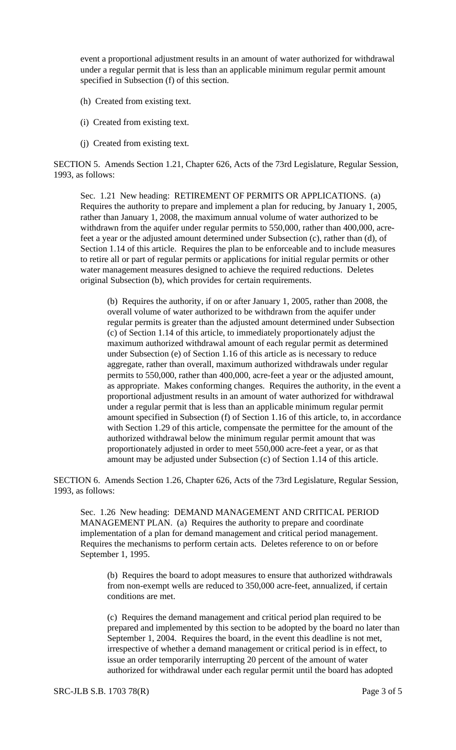event a proportional adjustment results in an amount of water authorized for withdrawal under a regular permit that is less than an applicable minimum regular permit amount specified in Subsection (f) of this section.

- (h) Created from existing text.
- (i) Created from existing text.
- (j) Created from existing text.

SECTION 5. Amends Section 1.21, Chapter 626, Acts of the 73rd Legislature, Regular Session, 1993, as follows:

Sec. 1.21 New heading: RETIREMENT OF PERMITS OR APPLICATIONS. (a) Requires the authority to prepare and implement a plan for reducing, by January 1, 2005, rather than January 1, 2008, the maximum annual volume of water authorized to be withdrawn from the aquifer under regular permits to 550,000, rather than 400,000, acrefeet a year or the adjusted amount determined under Subsection (c), rather than (d), of Section 1.14 of this article. Requires the plan to be enforceable and to include measures to retire all or part of regular permits or applications for initial regular permits or other water management measures designed to achieve the required reductions. Deletes original Subsection (b), which provides for certain requirements.

(b) Requires the authority, if on or after January 1, 2005, rather than 2008, the overall volume of water authorized to be withdrawn from the aquifer under regular permits is greater than the adjusted amount determined under Subsection (c) of Section 1.14 of this article, to immediately proportionately adjust the maximum authorized withdrawal amount of each regular permit as determined under Subsection (e) of Section 1.16 of this article as is necessary to reduce aggregate, rather than overall, maximum authorized withdrawals under regular permits to 550,000, rather than 400,000, acre-feet a year or the adjusted amount, as appropriate. Makes conforming changes. Requires the authority, in the event a proportional adjustment results in an amount of water authorized for withdrawal under a regular permit that is less than an applicable minimum regular permit amount specified in Subsection (f) of Section 1.16 of this article, to, in accordance with Section 1.29 of this article, compensate the permittee for the amount of the authorized withdrawal below the minimum regular permit amount that was proportionately adjusted in order to meet 550,000 acre-feet a year, or as that amount may be adjusted under Subsection (c) of Section 1.14 of this article.

SECTION 6. Amends Section 1.26, Chapter 626, Acts of the 73rd Legislature, Regular Session, 1993, as follows:

Sec. 1.26 New heading: DEMAND MANAGEMENT AND CRITICAL PERIOD MANAGEMENT PLAN. (a) Requires the authority to prepare and coordinate implementation of a plan for demand management and critical period management. Requires the mechanisms to perform certain acts. Deletes reference to on or before September 1, 1995.

(b) Requires the board to adopt measures to ensure that authorized withdrawals from non-exempt wells are reduced to 350,000 acre-feet, annualized, if certain conditions are met.

(c) Requires the demand management and critical period plan required to be prepared and implemented by this section to be adopted by the board no later than September 1, 2004. Requires the board, in the event this deadline is not met, irrespective of whether a demand management or critical period is in effect, to issue an order temporarily interrupting 20 percent of the amount of water authorized for withdrawal under each regular permit until the board has adopted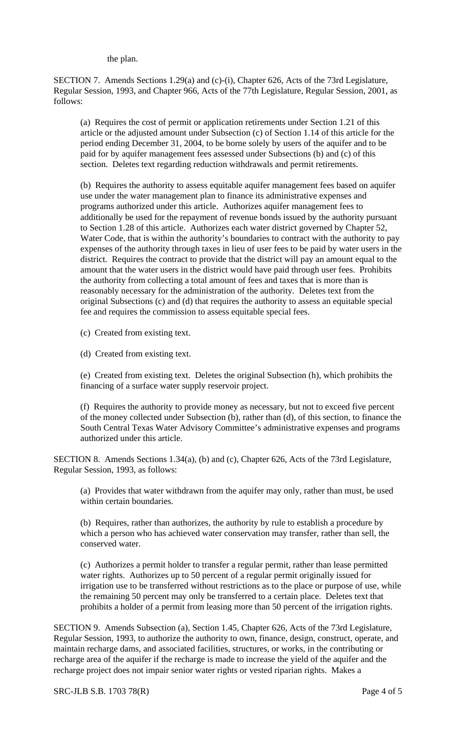the plan.

SECTION 7. Amends Sections 1.29(a) and (c)-(i), Chapter 626, Acts of the 73rd Legislature, Regular Session, 1993, and Chapter 966, Acts of the 77th Legislature, Regular Session, 2001, as follows:

(a) Requires the cost of permit or application retirements under Section 1.21 of this article or the adjusted amount under Subsection (c) of Section 1.14 of this article for the period ending December 31, 2004, to be borne solely by users of the aquifer and to be paid for by aquifer management fees assessed under Subsections (b) and (c) of this section. Deletes text regarding reduction withdrawals and permit retirements.

(b) Requires the authority to assess equitable aquifer management fees based on aquifer use under the water management plan to finance its administrative expenses and programs authorized under this article. Authorizes aquifer management fees to additionally be used for the repayment of revenue bonds issued by the authority pursuant to Section 1.28 of this article. Authorizes each water district governed by Chapter 52, Water Code, that is within the authority's boundaries to contract with the authority to pay expenses of the authority through taxes in lieu of user fees to be paid by water users in the district. Requires the contract to provide that the district will pay an amount equal to the amount that the water users in the district would have paid through user fees. Prohibits the authority from collecting a total amount of fees and taxes that is more than is reasonably necessary for the administration of the authority. Deletes text from the original Subsections (c) and (d) that requires the authority to assess an equitable special fee and requires the commission to assess equitable special fees.

(c) Created from existing text.

(d) Created from existing text.

(e) Created from existing text. Deletes the original Subsection (h), which prohibits the financing of a surface water supply reservoir project.

(f) Requires the authority to provide money as necessary, but not to exceed five percent of the money collected under Subsection (b), rather than (d), of this section, to finance the South Central Texas Water Advisory Committee's administrative expenses and programs authorized under this article.

SECTION 8. Amends Sections 1.34(a), (b) and (c), Chapter 626, Acts of the 73rd Legislature, Regular Session, 1993, as follows:

(a) Provides that water withdrawn from the aquifer may only, rather than must, be used within certain boundaries.

(b) Requires, rather than authorizes, the authority by rule to establish a procedure by which a person who has achieved water conservation may transfer, rather than sell, the conserved water.

(c) Authorizes a permit holder to transfer a regular permit, rather than lease permitted water rights. Authorizes up to 50 percent of a regular permit originally issued for irrigation use to be transferred without restrictions as to the place or purpose of use, while the remaining 50 percent may only be transferred to a certain place. Deletes text that prohibits a holder of a permit from leasing more than 50 percent of the irrigation rights.

SECTION 9. Amends Subsection (a), Section 1.45, Chapter 626, Acts of the 73rd Legislature, Regular Session, 1993, to authorize the authority to own, finance, design, construct, operate, and maintain recharge dams, and associated facilities, structures, or works, in the contributing or recharge area of the aquifer if the recharge is made to increase the yield of the aquifer and the recharge project does not impair senior water rights or vested riparian rights. Makes a